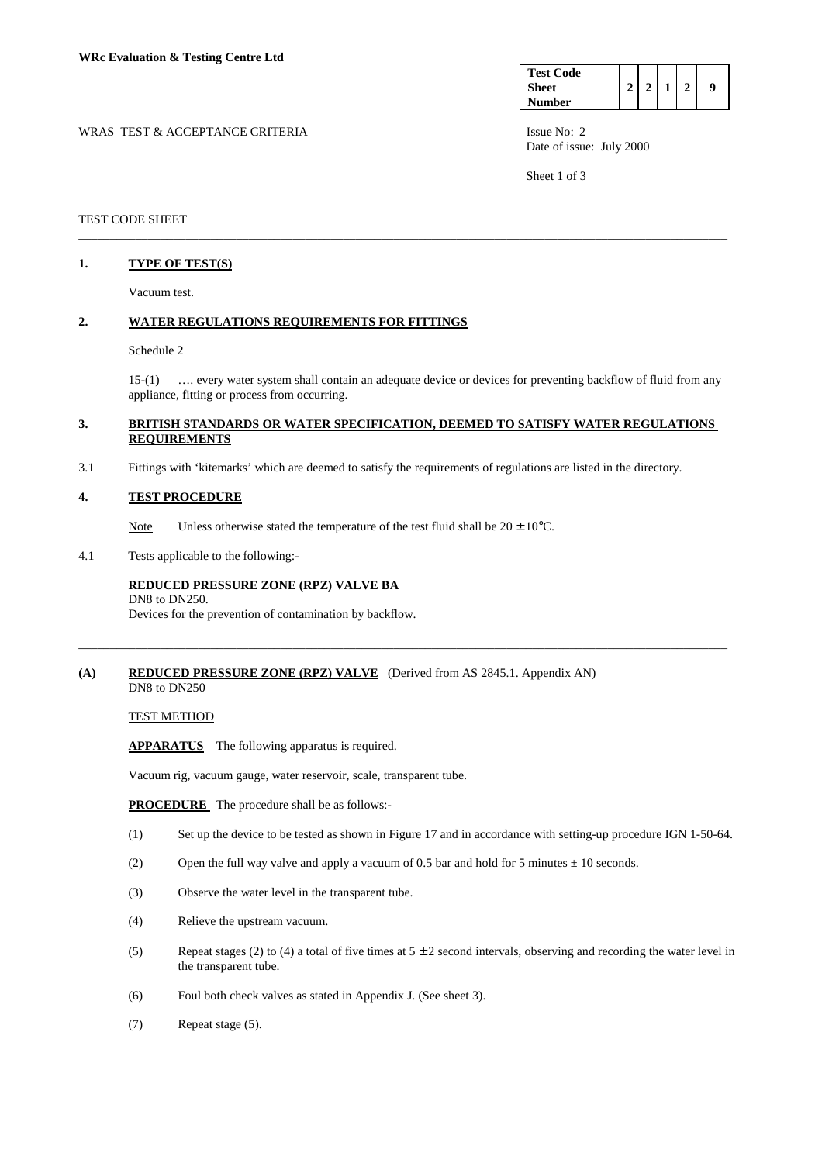| <b>Test Code</b> |  |  |  |
|------------------|--|--|--|
| <b>Sheet</b>     |  |  |  |
| <b>Number</b>    |  |  |  |

WRAS TEST & ACCEPTANCE CRITERIA ISSUE No: 2 Date of issue: July 2000

Sheet 1 of 3

## TEST CODE SHEET

## **1. TYPE OF TEST(S)**

Vacuum test.

### **2. WATER REGULATIONS REQUIREMENTS FOR FITTINGS**

#### Schedule 2

 15-(1) …. every water system shall contain an adequate device or devices for preventing backflow of fluid from any appliance, fitting or process from occurring.

### **3. BRITISH STANDARDS OR WATER SPECIFICATION, DEEMED TO SATISFY WATER REGULATIONS REQUIREMENTS**

\_\_\_\_\_\_\_\_\_\_\_\_\_\_\_\_\_\_\_\_\_\_\_\_\_\_\_\_\_\_\_\_\_\_\_\_\_\_\_\_\_\_\_\_\_\_\_\_\_\_\_\_\_\_\_\_\_\_\_\_\_\_\_\_\_\_\_\_\_\_\_\_\_\_\_\_\_\_\_\_\_\_\_\_\_\_\_\_\_\_\_\_\_\_\_\_\_\_\_\_\_\_\_

\_\_\_\_\_\_\_\_\_\_\_\_\_\_\_\_\_\_\_\_\_\_\_\_\_\_\_\_\_\_\_\_\_\_\_\_\_\_\_\_\_\_\_\_\_\_\_\_\_\_\_\_\_\_\_\_\_\_\_\_\_\_\_\_\_\_\_\_\_\_\_\_\_\_\_\_\_\_\_\_\_\_\_\_\_\_\_\_\_\_\_\_\_\_\_\_\_\_\_\_\_\_\_

3.1 Fittings with 'kitemarks' which are deemed to satisfy the requirements of regulations are listed in the directory.

## **4. TEST PROCEDURE**

Note Unless otherwise stated the temperature of the test fluid shall be  $20 \pm 10^{\circ}$ C.

4.1 Tests applicable to the following:-

#### **REDUCED PRESSURE ZONE (RPZ) VALVE BA** DN8 to DN250.

Devices for the prevention of contamination by backflow.

#### **(A) REDUCED PRESSURE ZONE (RPZ) VALVE** (Derived from AS 2845.1. Appendix AN) DN8 to DN250

TEST METHOD

**APPARATUS** The following apparatus is required.

Vacuum rig, vacuum gauge, water reservoir, scale, transparent tube.

**PROCEDURE** The procedure shall be as follows:-

- (1) Set up the device to be tested as shown in Figure 17 and in accordance with setting-up procedure IGN 1-50-64.
- (2) Open the full way valve and apply a vacuum of 0.5 bar and hold for 5 minutes  $\pm$  10 seconds.
- (3) Observe the water level in the transparent tube.
- (4) Relieve the upstream vacuum.
- (5) Repeat stages (2) to (4) a total of five times at  $5 \pm 2$  second intervals, observing and recording the water level in the transparent tube.
- (6) Foul both check valves as stated in Appendix J. (See sheet 3).
- (7) Repeat stage (5).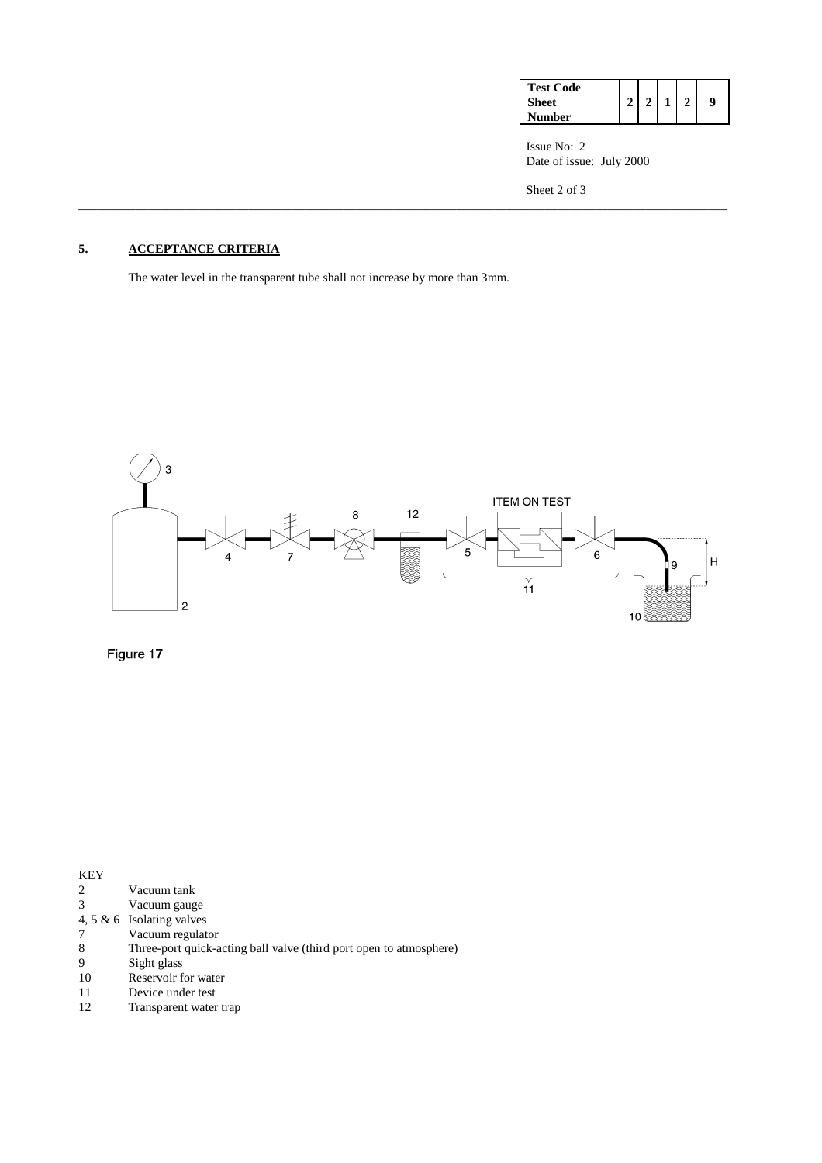| <b>Test Code</b><br><b>Sheet</b><br>Number |  |  |  |
|--------------------------------------------|--|--|--|
|                                            |  |  |  |

 Issue No: 2 Date of issue: July 2000

Sheet 2 of 3

# **5. ACCEPTANCE CRITERIA**

The water level in the transparent tube shall not increase by more than 3mm.



\_\_\_\_\_\_\_\_\_\_\_\_\_\_\_\_\_\_\_\_\_\_\_\_\_\_\_\_\_\_\_\_\_\_\_\_\_\_\_\_\_\_\_\_\_\_\_\_\_\_\_\_\_\_\_\_\_\_\_\_\_\_\_\_\_\_\_\_\_\_\_\_\_\_\_\_\_\_\_\_\_\_\_\_\_\_\_\_\_\_\_\_\_\_\_\_\_\_\_\_\_\_\_

Figure 17

| ۰EY. |                                                                    |
|------|--------------------------------------------------------------------|
|      | Vacuum tank                                                        |
| 3    | Vacuum gauge                                                       |
|      | 4, 5 $\&$ 6 Isolating valves                                       |
|      | Vacuum regulator                                                   |
| 8    | Three-port quick-acting ball valve (third port open to atmosphere) |
|      | Sight glass                                                        |
| 10   | Reservoir for water                                                |
| 11   | Device under test                                                  |
| 12   | Transparent water trap                                             |
|      |                                                                    |